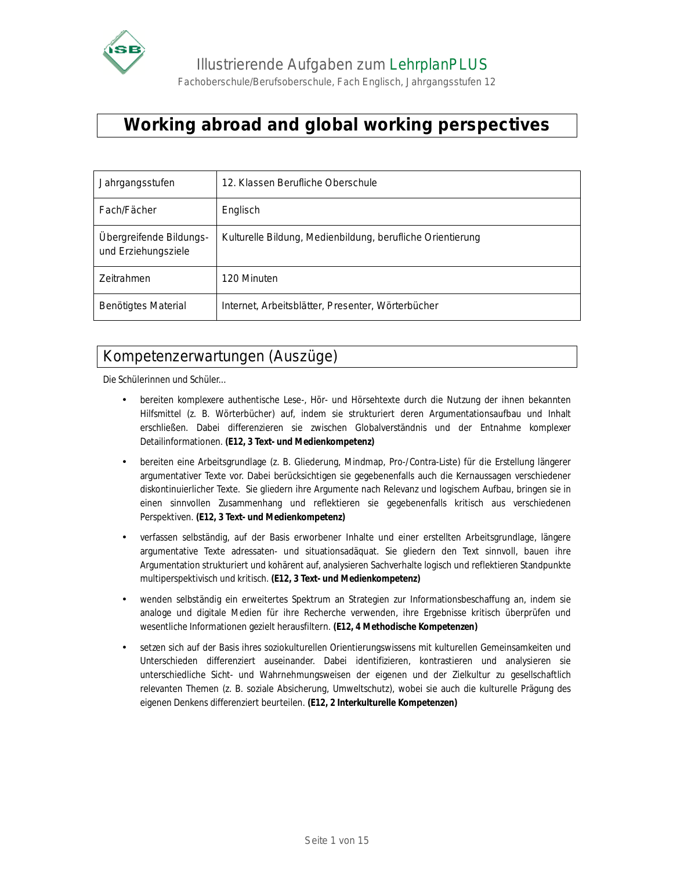

Fachoberschule/Berufsoberschule, Fach Englisch, Jahrgangsstufen 12

# **Working abroad and global working perspectives**

| Jahrgangsstufen                                | 12. Klassen Berufliche Oberschule                          |
|------------------------------------------------|------------------------------------------------------------|
| Fach/Fächer                                    | Englisch                                                   |
| Übergreifende Bildungs-<br>und Erziehungsziele | Kulturelle Bildung, Medienbildung, berufliche Orientierung |
| Zeitrahmen                                     | 120 Minuten                                                |
| <b>Benötigtes Material</b>                     | Internet, Arbeitsblätter, Presenter, Wörterbücher          |

## Kompetenzerwartungen (Auszüge)

Die Schülerinnen und Schüler...

- bereiten komplexere authentische Lese-, Hör- und Hörsehtexte durch die Nutzung der ihnen bekannten Hilfsmittel (z. B. Wörterbücher) auf, indem sie strukturiert deren Argumentationsaufbau und Inhalt erschließen. Dabei differenzieren sie zwischen Globalverständnis und der Entnahme komplexer Detailinformationen. **(E12, 3 Text- und Medienkompetenz)**
- bereiten eine Arbeitsgrundlage (z. B. Gliederung, Mindmap, Pro-/Contra-Liste) für die Erstellung längerer argumentativer Texte vor. Dabei berücksichtigen sie gegebenenfalls auch die Kernaussagen verschiedener diskontinuierlicher Texte. Sie gliedern ihre Argumente nach Relevanz und logischem Aufbau, bringen sie in einen sinnvollen Zusammenhang und reflektieren sie gegebenenfalls kritisch aus verschiedenen Perspektiven. **(E12, 3 Text- und Medienkompetenz)**
- verfassen selbständig, auf der Basis erworbener Inhalte und einer erstellten Arbeitsgrundlage, längere argumentative Texte adressaten- und situationsadäquat. Sie gliedern den Text sinnvoll, bauen ihre Argumentation strukturiert und kohärent auf, analysieren Sachverhalte logisch und reflektieren Standpunkte multiperspektivisch und kritisch. **(E12, 3 Text- und Medienkompetenz)**
- wenden selbständig ein erweitertes Spektrum an Strategien zur Informationsbeschaffung an, indem sie analoge und digitale Medien für ihre Recherche verwenden, ihre Ergebnisse kritisch überprüfen und wesentliche Informationen gezielt herausfiltern. **(E12, 4 Methodische Kompetenzen)**
- setzen sich auf der Basis ihres soziokulturellen Orientierungswissens mit kulturellen Gemeinsamkeiten und Unterschieden differenziert auseinander. Dabei identifizieren, kontrastieren und analysieren sie unterschiedliche Sicht- und Wahrnehmungsweisen der eigenen und der Zielkultur zu gesellschaftlich relevanten Themen (z. B. soziale Absicherung, Umweltschutz), wobei sie auch die kulturelle Prägung des eigenen Denkens differenziert beurteilen. **(E12, 2 Interkulturelle Kompetenzen)**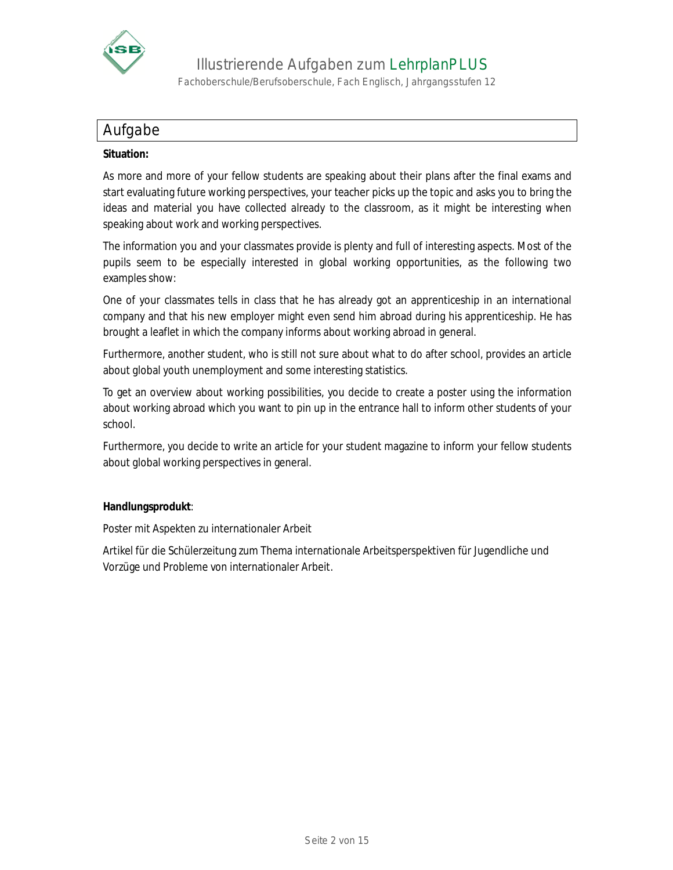

Fachoberschule/Berufsoberschule, Fach Englisch, Jahrgangsstufen 12

### Aufgabe

#### **Situation:**

As more and more of your fellow students are speaking about their plans after the final exams and start evaluating future working perspectives, your teacher picks up the topic and asks you to bring the ideas and material you have collected already to the classroom, as it might be interesting when speaking about work and working perspectives.

The information you and your classmates provide is plenty and full of interesting aspects. Most of the pupils seem to be especially interested in global working opportunities, as the following two examples show:

One of your classmates tells in class that he has already got an apprenticeship in an international company and that his new employer might even send him abroad during his apprenticeship. He has brought a leaflet in which the company informs about working abroad in general.

Furthermore, another student, who is still not sure about what to do after school, provides an article about global youth unemployment and some interesting statistics.

To get an overview about working possibilities, you decide to create a poster using the information about working abroad which you want to pin up in the entrance hall to inform other students of your school.

Furthermore, you decide to write an article for your student magazine to inform your fellow students about global working perspectives in general.

**Handlungsprodukt**:

Poster mit Aspekten zu internationaler Arbeit

Artikel für die Schülerzeitung zum Thema internationale Arbeitsperspektiven für Jugendliche und Vorzüge und Probleme von internationaler Arbeit.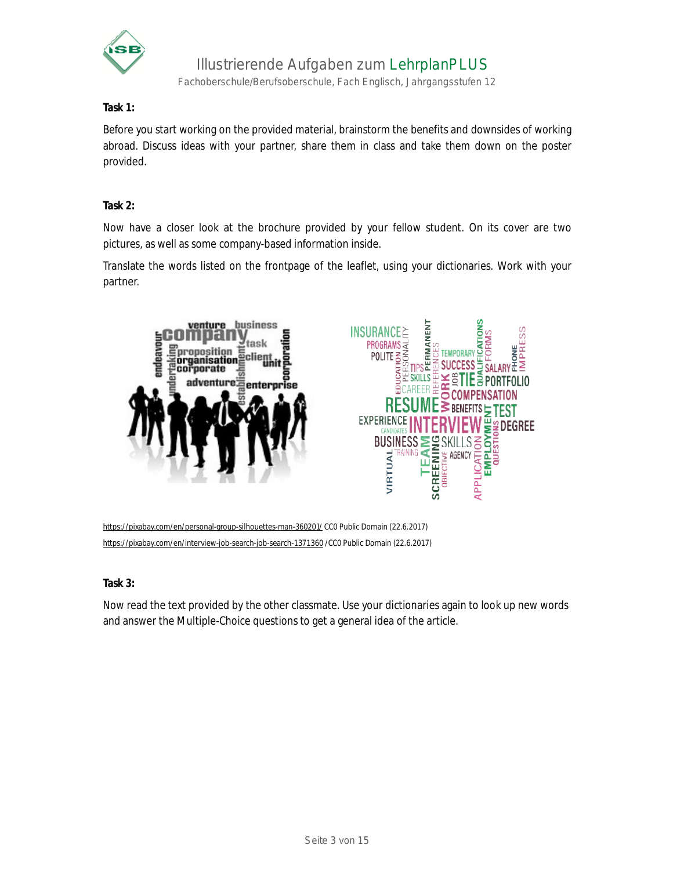

Fachoberschule/Berufsoberschule, Fach Englisch, Jahrgangsstufen 12

**Task 1:**

Before you start working on the provided material, brainstorm the benefits and downsides of working abroad. Discuss ideas with your partner, share them in class and take them down on the poster provided.

**Task 2:**

Now have a closer look at the brochure provided by your fellow student. On its cover are two pictures, as well as some company-based information inside.

Translate the words listed on the frontpage of the leaflet, using your dictionaries. Work with your partner.



<https://pixabay.com/en/personal-group-silhouettes-man-360201/> CC0 Public Domain (22.6.2017) <https://pixabay.com/en/interview-job-search-job-search-1371360> /CC0 Public Domain (22.6.2017)

**Task 3:**

Now read the text provided by the other classmate. Use your dictionaries again to look up new words and answer the Multiple-Choice questions to get a general idea of the article.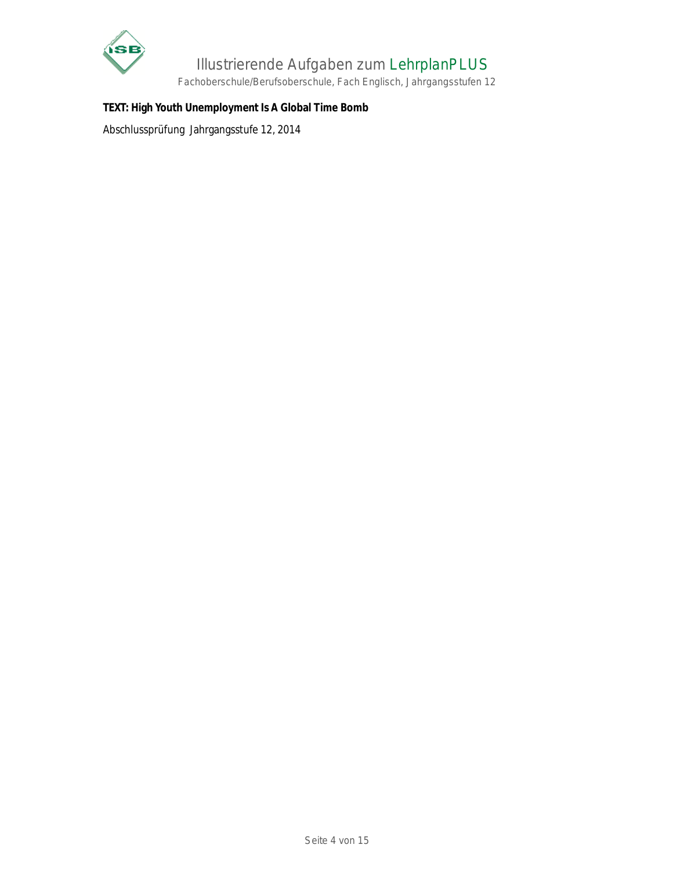

Fachoberschule/Berufsoberschule, Fach Englisch, Jahrgangsstufen 12

**TEXT: High Youth Unemployment Is A Global Time Bomb**

Abschlussprüfung Jahrgangsstufe 12, 2014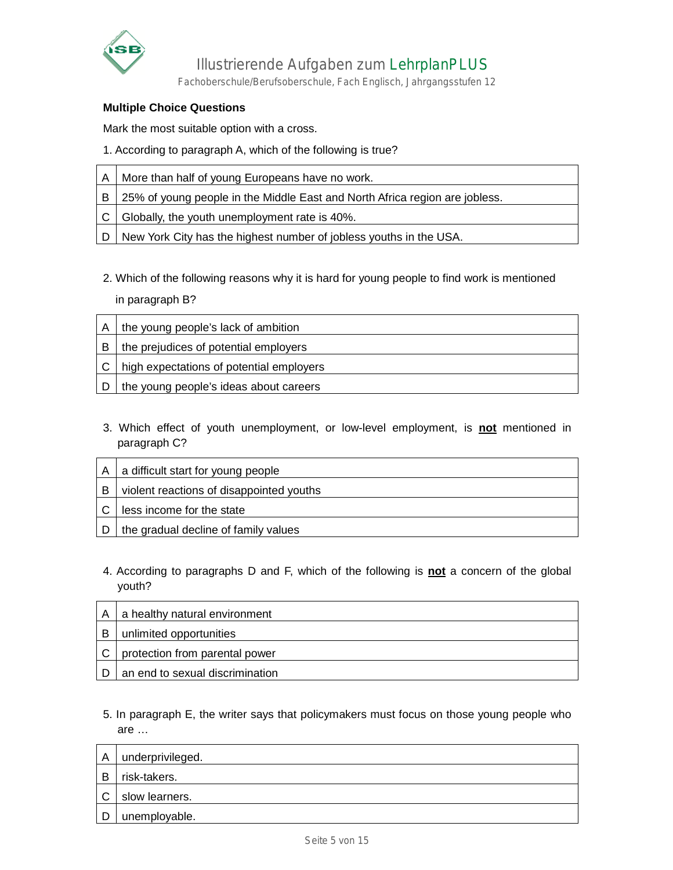

Fachoberschule/Berufsoberschule, Fach Englisch, Jahrgangsstufen 12

#### **Multiple Choice Questions**

Mark the most suitable option with a cross.

1. According to paragraph A, which of the following is true?

|      | A   More than half of young Europeans have no work.                           |  |  |
|------|-------------------------------------------------------------------------------|--|--|
|      | B 25% of young people in the Middle East and North Africa region are jobless. |  |  |
|      | Globally, the youth unemployment rate is 40%.                                 |  |  |
| i Di | New York City has the highest number of jobless youths in the USA.            |  |  |

2. Which of the following reasons why it is hard for young people to find work is mentioned in paragraph B?

| A   | the young people's lack of ambition          |  |  |
|-----|----------------------------------------------|--|--|
| B   | the prejudices of potential employers        |  |  |
|     | C   high expectations of potential employers |  |  |
| l D | the young people's ideas about careers       |  |  |

3. Which effect of youth unemployment, or low-level employment, is **not** mentioned in paragraph C?

| A | a difficult start for young people       |  |
|---|------------------------------------------|--|
| B | violent reactions of disappointed youths |  |
|   | less income for the state                |  |
|   | the gradual decline of family values     |  |

4. According to paragraphs D and F, which of the following is **not** a concern of the global youth?

| A | a healthy natural environment   |
|---|---------------------------------|
| B | unlimited opportunities         |
|   | protection from parental power  |
|   | an end to sexual discrimination |

5. In paragraph E, the writer says that policymakers must focus on those young people who are …

| A | underprivileged. |
|---|------------------|
| B | risk-takers.     |
| С | slow learners.   |
| D | unemployable.    |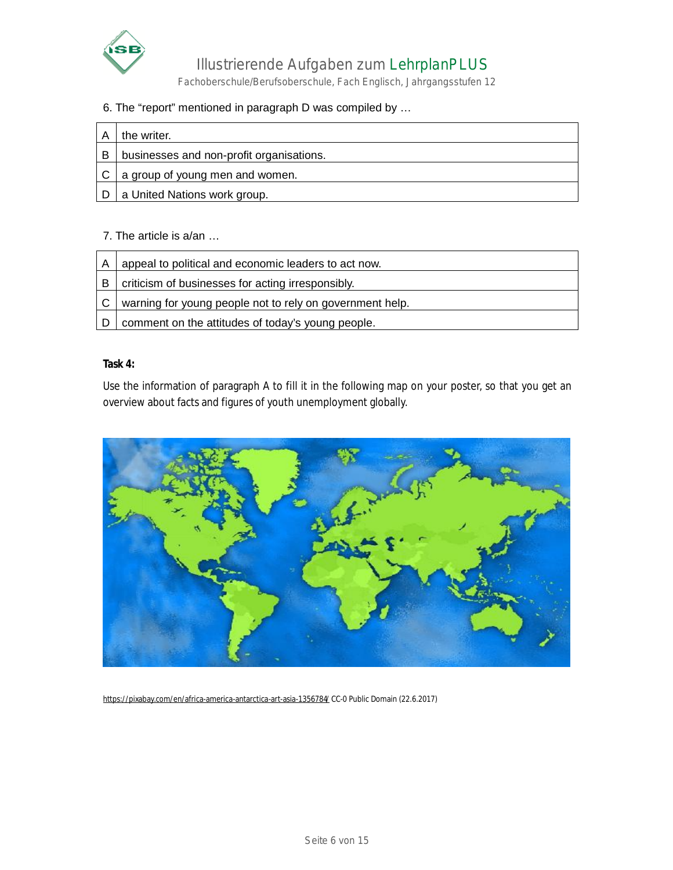

Fachoberschule/Berufsoberschule, Fach Englisch, Jahrgangsstufen 12

#### 6. The "report" mentioned in paragraph D was compiled by …

| Α | the writer.                              |
|---|------------------------------------------|
| B | businesses and non-profit organisations. |
|   | a group of young men and women.          |
|   | a United Nations work group.             |

#### 7. The article is a/an …

| A | appeal to political and economic leaders to act now.     |  |
|---|----------------------------------------------------------|--|
| в | criticism of businesses for acting irresponsibly.        |  |
| C | warning for young people not to rely on government help. |  |
|   | comment on the attitudes of today's young people.        |  |

#### **Task 4:**

Use the information of paragraph A to fill it in the following map on your poster, so that you get an overview about facts and figures of youth unemployment globally.



<https://pixabay.com/en/africa-america-antarctica-art-asia-1356784/> CC-0 Public Domain (22.6.2017)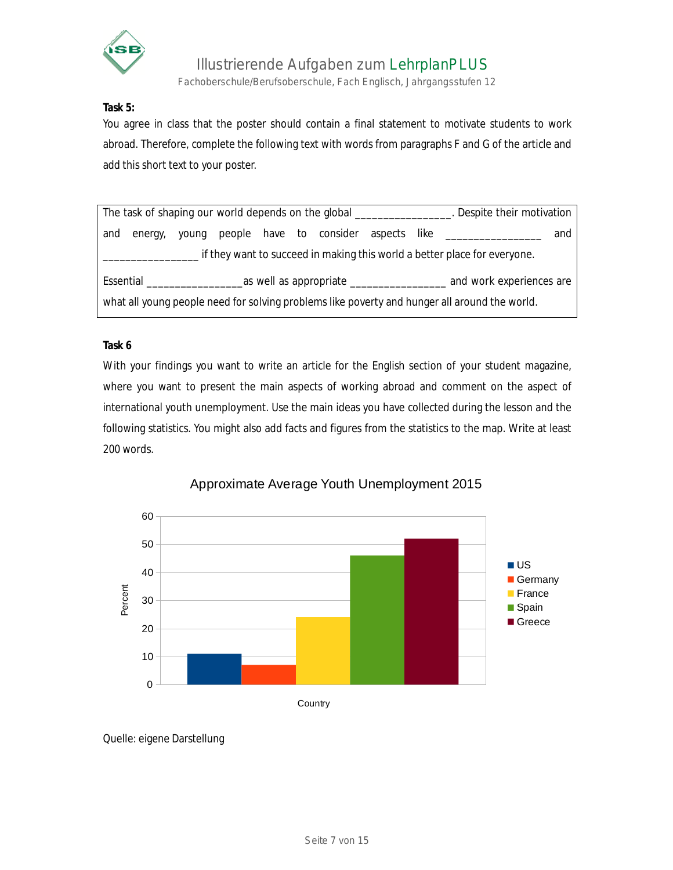

Fachoberschule/Berufsoberschule, Fach Englisch, Jahrgangsstufen 12

**Task 5:**

You agree in class that the poster should contain a final statement to motivate students to work abroad. Therefore, complete the following text with words from paragraphs F and G of the article and add this short text to your poster.

| The task of shaping our world depends on the global __________________. Despite their motivation |             |  |  |  |  |  |  |  |                                                         |     |
|--------------------------------------------------------------------------------------------------|-------------|--|--|--|--|--|--|--|---------------------------------------------------------|-----|
|                                                                                                  | and energy, |  |  |  |  |  |  |  | young people have to consider aspects like ____________ | and |
| . if they want to succeed in making this world a better place for everyone.                      |             |  |  |  |  |  |  |  |                                                         |     |
|                                                                                                  |             |  |  |  |  |  |  |  |                                                         |     |
| what all young people need for solving problems like poverty and hunger all around the world.    |             |  |  |  |  |  |  |  |                                                         |     |

#### **Task 6**

With your findings you want to write an article for the English section of your student magazine, where you want to present the main aspects of working abroad and comment on the aspect of international youth unemployment. Use the main ideas you have collected during the lesson and the following statistics. You might also add facts and figures from the statistics to the map. Write at least 200 words.



### Approximate Average Youth Unemployment 2015

Quelle: eigene Darstellung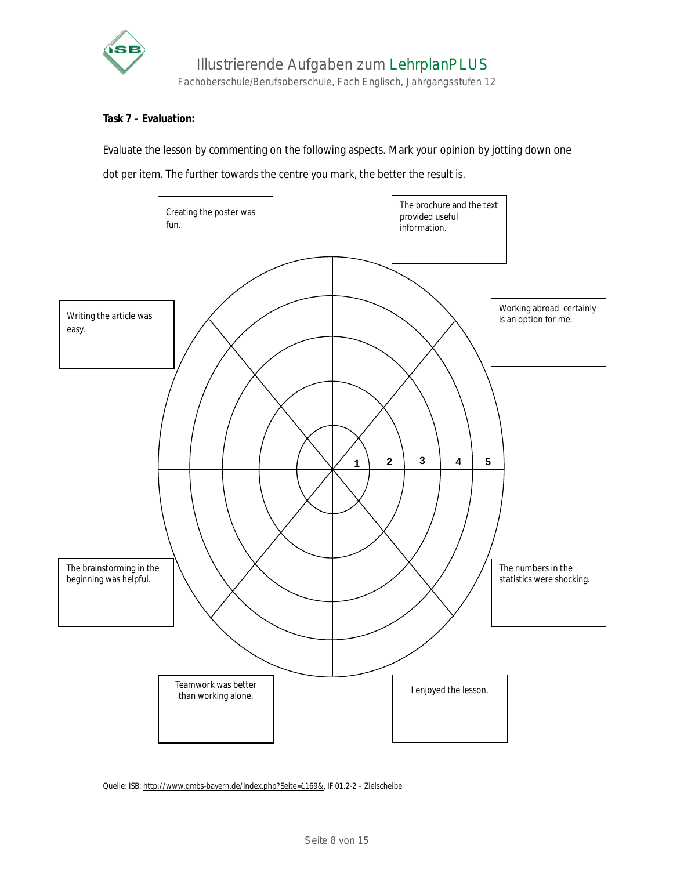

#### **Task 7 – Evaluation:**

Evaluate the lesson by commenting on the following aspects. Mark your opinion by jotting down one dot per item. The further towards the centre you mark, the better the result is.



Quelle: ISB:<http://www.qmbs-bayern.de/index.php?Seite=1169&>, IF 01.2-2 – Zielscheibe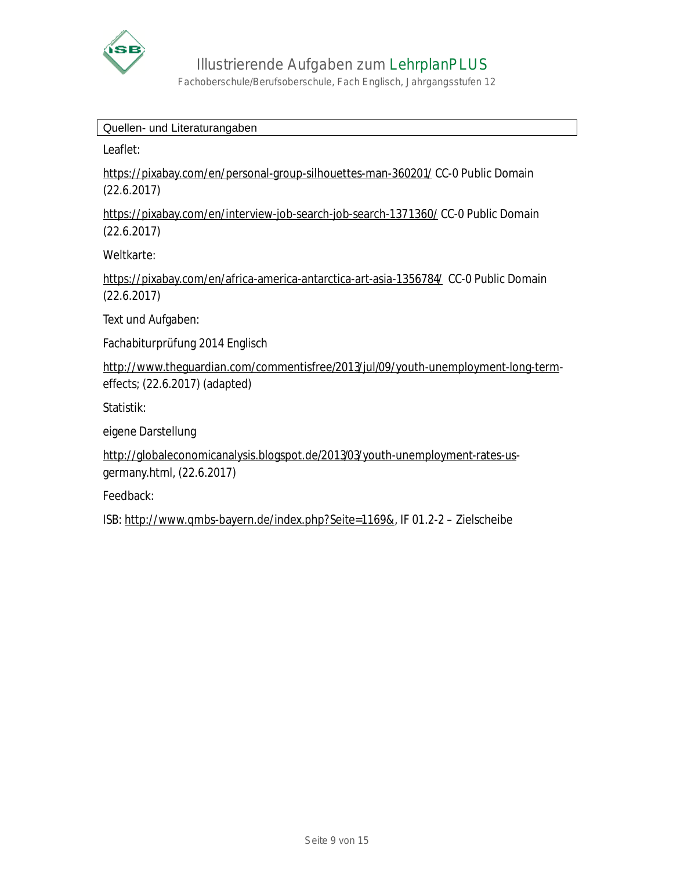

Fachoberschule/Berufsoberschule, Fach Englisch, Jahrgangsstufen 12

Quellen- und Literaturangaben

Leaflet:

<https://pixabay.com/en/personal-group-silhouettes-man-360201/> CC-0 Public Domain (22.6.2017)

<https://pixabay.com/en/interview-job-search-job-search-1371360/> CC-0 Public Domain (22.6.2017)

Weltkarte:

<https://pixabay.com/en/africa-america-antarctica-art-asia-1356784/> CC-0 Public Domain (22.6.2017)

Text und Aufgaben:

Fachabiturprüfung 2014 Englisch

<http://www.theguardian.com/commentisfree/2013/jul/09/youth-unemployment-long-term>effects; (22.6.2017) (adapted)

Statistik:

eigene Darstellung

<http://globaleconomicanalysis.blogspot.de/2013/03/youth-unemployment-rates-us>germany.html, (22.6.2017)

Feedback:

ISB:<http://www.qmbs-bayern.de/index.php?Seite=1169&>, IF 01.2-2 – Zielscheibe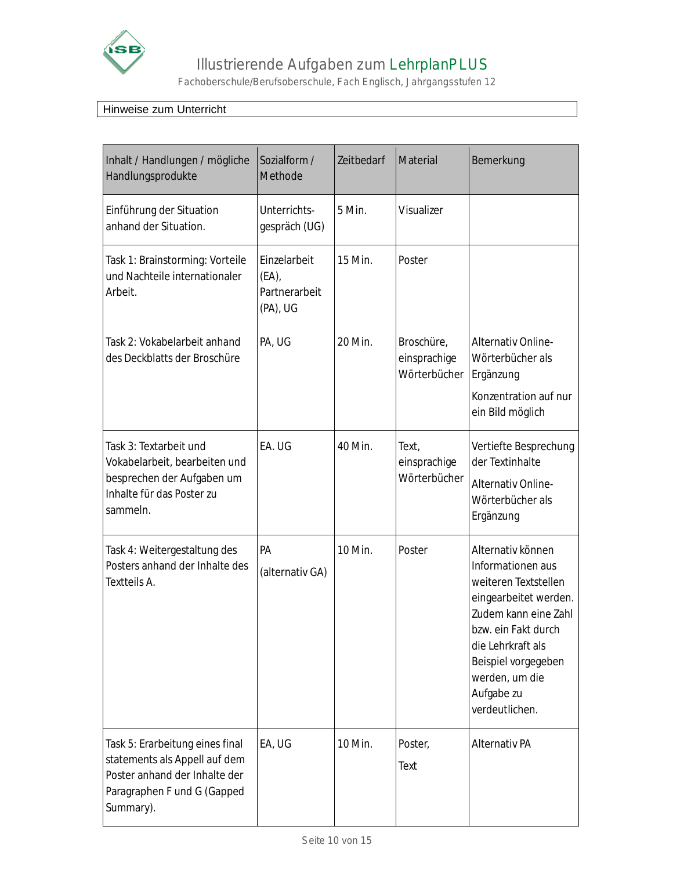

Fachoberschule/Berufsoberschule, Fach Englisch, Jahrgangsstufen 12

### Hinweise zum Unterricht

| Inhalt / Handlungen / mögliche<br>Handlungsprodukte                                                                                           | Sozialform /<br>Methode                            | Zeitbedarf | <b>Material</b>                            | Bemerkung                                                                                                                                                                                                                            |  |
|-----------------------------------------------------------------------------------------------------------------------------------------------|----------------------------------------------------|------------|--------------------------------------------|--------------------------------------------------------------------------------------------------------------------------------------------------------------------------------------------------------------------------------------|--|
| Einführung der Situation<br>anhand der Situation.                                                                                             | Unterrichts-<br>gespräch (UG)                      | 5 Min.     | <b>Visualizer</b>                          |                                                                                                                                                                                                                                      |  |
| Task 1: Brainstorming: Vorteile<br>und Nachteile internationaler<br>Arbeit.                                                                   | Einzelarbeit<br>(EA),<br>Partnerarbeit<br>(PA), UG | 15 Min.    | Poster                                     |                                                                                                                                                                                                                                      |  |
| Task 2: Vokabelarbeit anhand<br>des Deckblatts der Broschüre                                                                                  | PA, UG                                             | 20 Min.    | Broschüre,<br>einsprachige<br>Wörterbücher | <b>Alternativ Online-</b><br>Wörterbücher als<br>Ergänzung<br>Konzentration auf nur<br>ein Bild möglich                                                                                                                              |  |
| Task 3: Textarbeit und<br>Vokabelarbeit, bearbeiten und<br>besprechen der Aufgaben um<br>Inhalte für das Poster zu<br>sammeln.                | EA. UG                                             | 40 Min.    | Text,<br>einsprachige<br>Wörterbücher      | Vertiefte Besprechung<br>der Textinhalte<br><b>Alternativ Online-</b><br>Wörterbücher als<br>Ergänzung                                                                                                                               |  |
| Task 4: Weitergestaltung des<br>Posters anhand der Inhalte des<br>Textteils A.                                                                | <b>PA</b><br>(alternativ GA)                       | 10 Min.    | Poster                                     | Alternativ können<br>Informationen aus<br>weiteren Textstellen<br>eingearbeitet werden.<br>Zudem kann eine Zahl<br>bzw. ein Fakt durch<br>die Lehrkraft als<br>Beispiel vorgegeben<br>werden, um die<br>Aufgabe zu<br>verdeutlichen. |  |
| Task 5: Erarbeitung eines final<br>statements als Appell auf dem<br>Poster anhand der Inhalte der<br>Paragraphen F und G (Gapped<br>Summary). | EA, UG                                             | 10 Min.    | Poster,<br><b>Text</b>                     | <b>Alternativ PA</b>                                                                                                                                                                                                                 |  |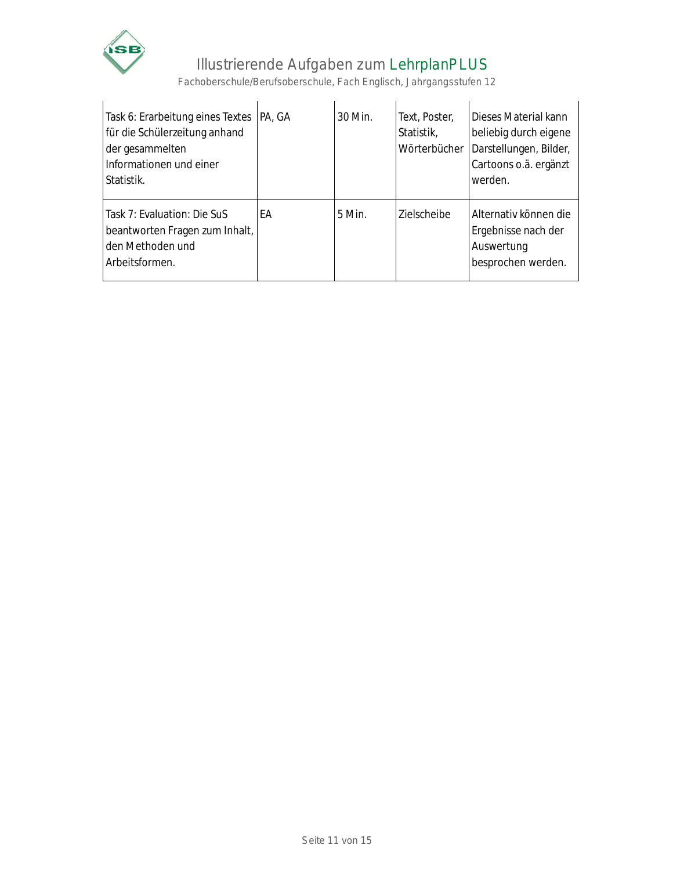

 $\overline{1}$ 

# Illustrierende Aufgaben zum LehrplanPLUS

Fachoberschule/Berufsoberschule, Fach Englisch, Jahrgangsstufen 12

| Task 6: Erarbeitung eines Textes<br>für die Schülerzeitung anhand<br>der gesammelten<br>Informationen und einer<br>Statistik. | PA, GA | 30 Min.  | Text, Poster,<br>Statistik,<br>Wörterbücher | Dieses Material kann<br>beliebig durch eigene<br>Darstellungen, Bilder,<br>Cartoons o.ä. ergänzt<br>werden. |
|-------------------------------------------------------------------------------------------------------------------------------|--------|----------|---------------------------------------------|-------------------------------------------------------------------------------------------------------------|
| Task 7: Evaluation: Die SuS<br>beantworten Fragen zum Inhalt,<br>den Methoden und<br>Arbeitsformen.                           | FА     | $5$ Min. | <b>Zielscheibe</b>                          | Alternativ können die<br>Ergebnisse nach der<br>Auswertung<br>besprochen werden.                            |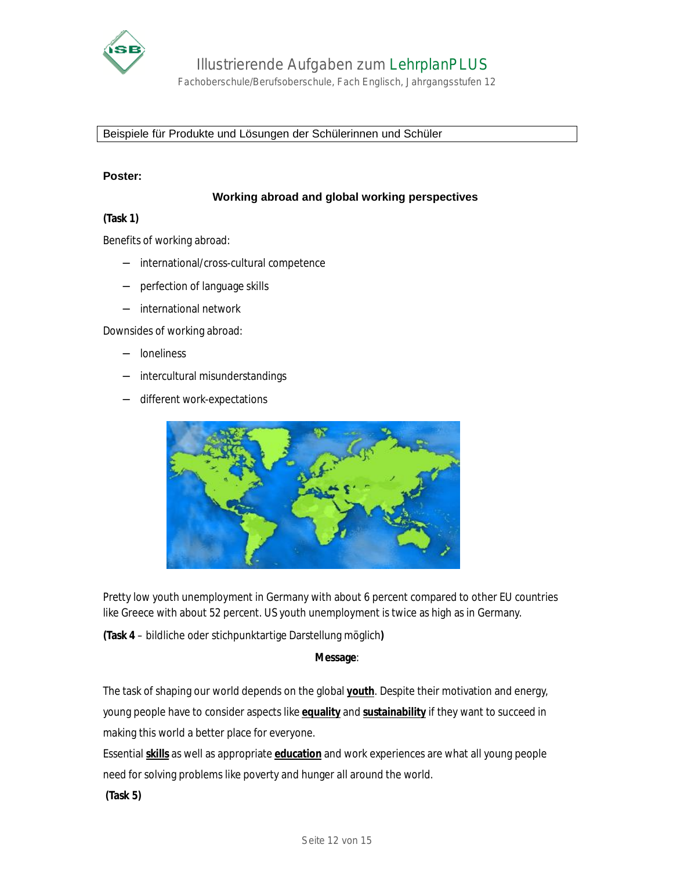

Fachoberschule/Berufsoberschule, Fach Englisch, Jahrgangsstufen 12

Beispiele für Produkte und Lösungen der Schülerinnen und Schüler

#### **Poster:**

#### **Working abroad and global working perspectives**

#### **(Task 1)**

Benefits of working abroad:

- − international/cross-cultural competence
- − perfection of language skills
- − international network

Downsides of working abroad:

- − loneliness
- − intercultural misunderstandings
- − different work-expectations



Pretty low youth unemployment in Germany with about 6 percent compared to other EU countries like Greece with about 52 percent. US youth unemployment is twice as high as in Germany.

**(Task 4** – bildliche oder stichpunktartige Darstellung möglich**)** 

**Message**:

The task of shaping our world depends on the global **youth**. Despite their motivation and energy, young people have to consider aspects like **equality** and **sustainability** if they want to succeed in making this world a better place for everyone.

Essential **skills** as well as appropriate **education** and work experiences are what all young people need for solving problems like poverty and hunger all around the world.

**(Task 5)**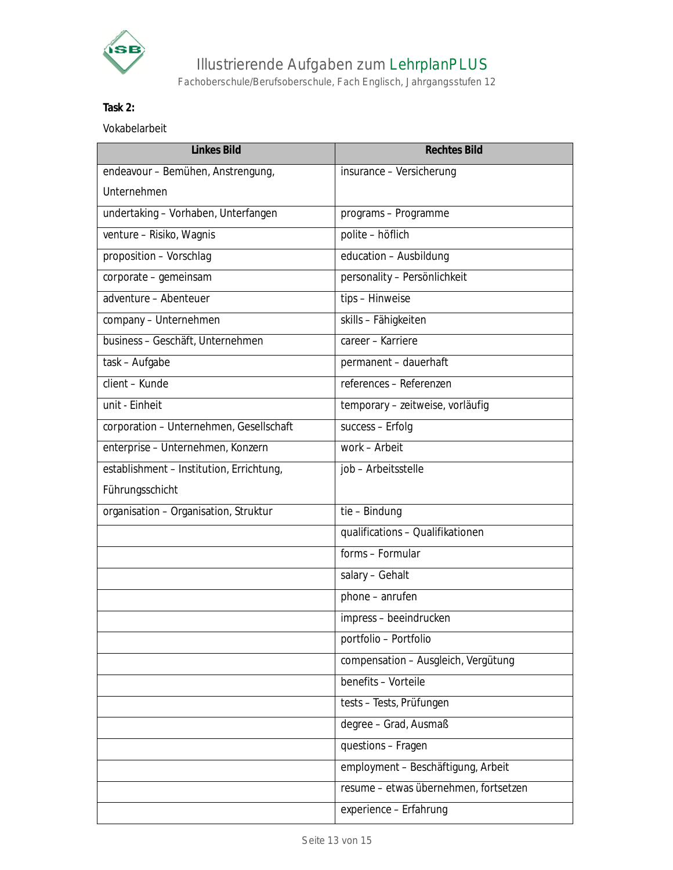

Fachoberschule/Berufsoberschule, Fach Englisch, Jahrgangsstufen 12

### **Task 2:**

Vokabelarbeit

| <b>Linkes Bild</b>                       | <b>Rechtes Bild</b>                   |
|------------------------------------------|---------------------------------------|
| endeavour - Bemühen, Anstrengung,        | insurance - Versicherung              |
| <b>Unternehmen</b>                       |                                       |
| undertaking - Vorhaben, Unterfangen      | programs - Programme                  |
| venture - Risiko, Wagnis                 | polite - höflich                      |
| proposition - Vorschlag                  | education - Ausbildung                |
| corporate - gemeinsam                    | personality - Persönlichkeit          |
| adventure - Abenteuer                    | tips - Hinweise                       |
| company - Unternehmen                    | skills - Fähigkeiten                  |
| business - Geschäft, Unternehmen         | career - Karriere                     |
| task - Aufgabe                           | permanent - dauerhaft                 |
| client - Kunde                           | references - Referenzen               |
| unit - Einheit                           | temporary - zeitweise, vorläufig      |
| corporation - Unternehmen, Gesellschaft  | success - Erfolg                      |
| enterprise - Unternehmen, Konzern        | work - Arbeit                         |
| establishment - Institution, Errichtung, | job - Arbeitsstelle                   |
| Führungsschicht                          |                                       |
| organisation - Organisation, Struktur    | tie - Bindung                         |
|                                          | qualifications - Qualifikationen      |
|                                          | forms - Formular                      |
|                                          | salary - Gehalt                       |
|                                          | $phone - anrufen$                     |
|                                          | impress - beeindrucken                |
|                                          | portfolio - Portfolio                 |
|                                          | compensation - Ausgleich, Vergütung   |
|                                          | benefits - Vorteile                   |
|                                          | tests - Tests, Prüfungen              |
|                                          | degree - Grad, Ausmaß                 |
|                                          | questions - Fragen                    |
|                                          | employment - Beschäftigung, Arbeit    |
|                                          | resume - etwas übernehmen, fortsetzen |
|                                          | experience - Erfahrung                |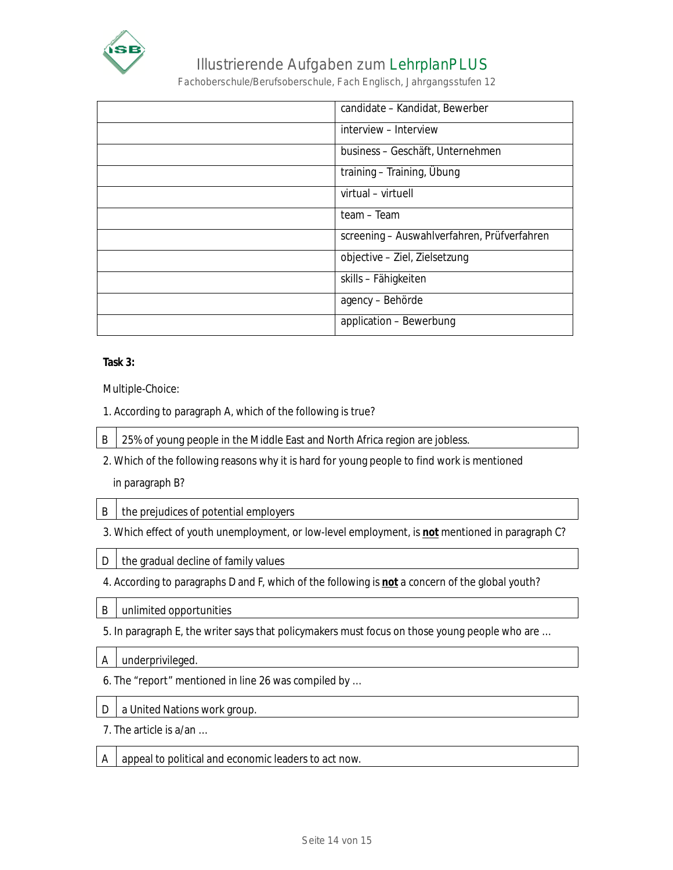

Fachoberschule/Berufsoberschule, Fach Englisch, Jahrgangsstufen 12

| candidate - Kandidat, Bewerber              |
|---------------------------------------------|
| interview - Interview                       |
| business – Geschäft, Unternehmen            |
| training – Training, Übung                  |
| virtual - virtuell                          |
| team - Team                                 |
| screening – Auswahlverfahren, Prüfverfahren |
| objective - Ziel, Zielsetzung               |
| skills – Fähigkeiten                        |
| agency - Behörde                            |
| application - Bewerbung                     |

**Task 3:** 

Multiple-Choice:

- 1. According to paragraph A, which of the following is true?
- B | 25% of young people in the Middle East and North Africa region are jobless.
- 2. Which of the following reasons why it is hard for young people to find work is mentioned

in paragraph B?

- $B$  | the prejudices of potential employers
- 3. Which effect of youth unemployment, or low-level employment, is **not** mentioned in paragraph C?
- $D$  the gradual decline of family values
- 4. According to paragraphs D and F, which of the following is **not** a concern of the global youth?
- B unlimited opportunities
- 5. In paragraph E, the writer says that policymakers must focus on those young people who are …
- A underprivileged.
- 6. The "report" mentioned in line 26 was compiled by …
- D a United Nations work group.
- 7. The article is a/an …
- $A \mid$  appeal to political and economic leaders to act now.